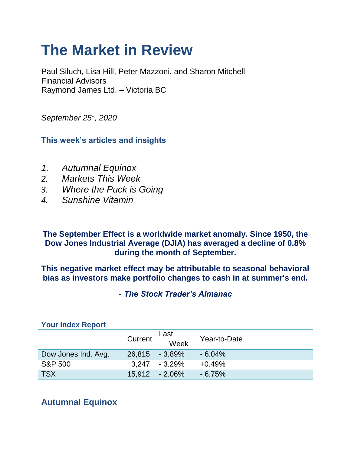# **The Market in Review**

Paul Siluch, Lisa Hill, Peter Mazzoni, and Sharon Mitchell Financial Advisors Raymond James Ltd. – Victoria BC

*September 25th, 2020*

**This week's articles and insights**

- *1. Autumnal Equinox*
- 
- *2. Markets This Week 3. Where the Puck is Going*
- *4. Sunshine Vitamin*

**The September Effect is a worldwide market anomaly. Since 1950, the Dow Jones Industrial Average (DJIA) has averaged a decline of 0.8% during the month of September.**

**This negative market effect may be attributable to seasonal behavioral bias as investors make portfolio changes to cash in at summer's end.**

*- The Stock Trader's Almanac*

|                     | Current        | Last<br>Week      | Year-to-Date |
|---------------------|----------------|-------------------|--------------|
| Dow Jones Ind. Avg. | 26,815 - 3.89% |                   | $-6.04%$     |
| <b>S&amp;P 500</b>  |                | $3.247 - 3.29\%$  | $+0.49%$     |
| <b>TSX</b>          |                | $15.912 - 2.06\%$ | $-6.75%$     |

**Your Index Report**

## **Autumnal Equinox**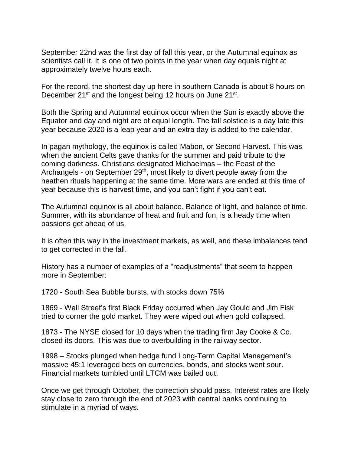September 22nd was the first day of fall this year, or the Autumnal equinox as scientists call it. It is one of two points in the year when day equals night at approximately twelve hours each.

For the record, the shortest day up here in southern Canada is about 8 hours on December 21<sup>st</sup> and the longest being 12 hours on June 21<sup>st</sup>.

Both the Spring and Autumnal equinox occur when the Sun is exactly above the Equator and day and night are of equal length. The fall solstice is a day late this year because 2020 is a leap year and an extra day is added to the calendar.

In pagan mythology, the equinox is called Mabon, or Second Harvest. This was when the ancient Celts gave thanks for the summer and paid tribute to the coming darkness. Christians designated Michaelmas – the Feast of the Archangels - on September 29<sup>th</sup>, most likely to divert people away from the heathen rituals happening at the same time. More wars are ended at this time of year because this is harvest time, and you can't fight if you can't eat.

The Autumnal equinox is all about balance. Balance of light, and balance of time. Summer, with its abundance of heat and fruit and fun, is a heady time when passions get ahead of us.

It is often this way in the investment markets, as well, and these imbalances tend to get corrected in the fall.

History has a number of examples of a "readjustments" that seem to happen more in September:

1720 - South Sea Bubble bursts, with stocks down 75%

1869 - Wall Street's first Black Friday occurred when Jay Gould and Jim Fisk tried to corner the gold market. They were wiped out when gold collapsed.

1873 - The NYSE closed for 10 days when the trading firm Jay Cooke & Co. closed its doors. This was due to overbuilding in the railway sector.

1998 – Stocks plunged when hedge fund Long-Term Capital Management's massive 45:1 leveraged bets on currencies, bonds, and stocks went sour. Financial markets tumbled until LTCM was bailed out.

Once we get through October, the correction should pass. Interest rates are likely stay close to zero through the end of 2023 with central banks continuing to stimulate in a myriad of ways.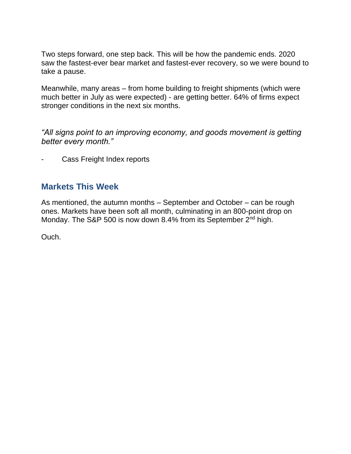Two steps forward, one step back. This will be how the pandemic ends. 2020 saw the fastest-ever bear market and fastest-ever recovery, so we were bound to take a pause.

Meanwhile, many areas – from home building to freight shipments (which were much better in July as were expected) - are getting better. 64% of firms expect stronger conditions in the next six months.

*"All signs point to an improving economy, and goods movement is getting better every month."* 

Cass Freight Index reports

#### **Markets This Week**

As mentioned, the autumn months – September and October – can be rough ones. Markets have been soft all month, culminating in an 800-point drop on Monday. The S&P 500 is now down 8.4% from its September 2<sup>nd</sup> high.

Ouch.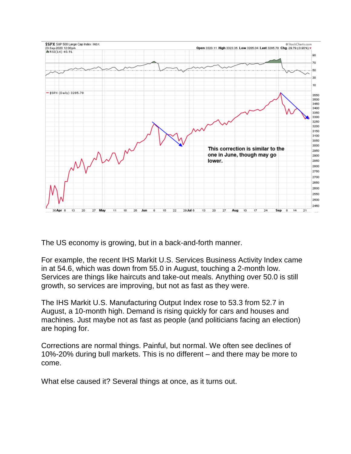

The US economy is growing, but in a back-and-forth manner.

For example, the recent IHS Markit U.S. Services Business Activity Index came in at 54.6, which was down from 55.0 in August, touching a 2-month low. Services are things like haircuts and take-out meals. Anything over 50.0 is still growth, so services are improving, but not as fast as they were.

The IHS Markit U.S. Manufacturing Output Index rose to 53.3 from 52.7 in August, a 10-month high. Demand is rising quickly for cars and houses and machines. Just maybe not as fast as people (and politicians facing an election) are hoping for.

Corrections are normal things. Painful, but normal. We often see declines of 10%-20% during bull markets. This is no different – and there may be more to come.

What else caused it? Several things at once, as it turns out.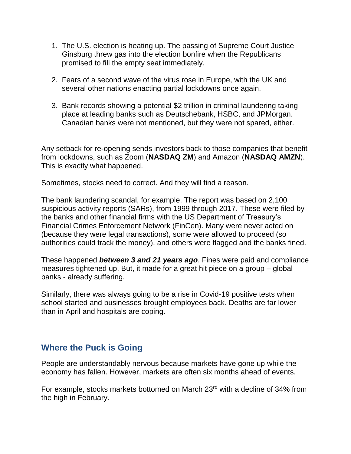- 1. The U.S. election is heating up. The passing of Supreme Court Justice Ginsburg threw gas into the election bonfire when the Republicans promised to fill the empty seat immediately.
- 2. Fears of a second wave of the virus rose in Europe, with the UK and several other nations enacting partial lockdowns once again.
- 3. Bank records showing a potential \$2 trillion in criminal laundering taking place at leading banks such as Deutschebank, HSBC, and JPMorgan. Canadian banks were not mentioned, but they were not spared, either.

Any setback for re-opening sends investors back to those companies that benefit from lockdowns, such as Zoom (**NASDAQ ZM**) and Amazon (**NASDAQ AMZN**). This is exactly what happened.

Sometimes, stocks need to correct. And they will find a reason.

The bank laundering scandal, for example. The report was based on 2,100 suspicious activity reports (SARs), from 1999 through 2017. These were filed by the banks and other financial firms with the US Department of Treasury's Financial Crimes Enforcement Network (FinCen). Many were never acted on (because they were legal transactions), some were allowed to proceed (so authorities could track the money), and others were flagged and the banks fined.

These happened *between 3 and 21 years ago*. Fines were paid and compliance measures tightened up. But, it made for a great hit piece on a group – global banks - already suffering.

Similarly, there was always going to be a rise in Covid-19 positive tests when school started and businesses brought employees back. Deaths are far lower than in April and hospitals are coping.

#### **Where the Puck is Going**

People are understandably nervous because markets have gone up while the economy has fallen. However, markets are often six months ahead of events.

For example, stocks markets bottomed on March 23rd with a decline of 34% from the high in February.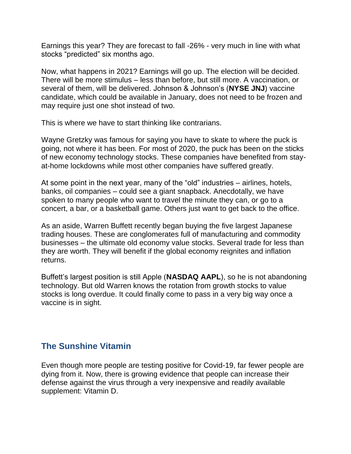Earnings this year? They are forecast to fall -26% - very much in line with what stocks "predicted" six months ago.

Now, what happens in 2021? Earnings will go up. The election will be decided. There will be more stimulus – less than before, but still more. A vaccination, or several of them, will be delivered. Johnson & Johnson's (**NYSE JNJ**) vaccine candidate, which could be available in January, does not need to be frozen and may require just one shot instead of two.

This is where we have to start thinking like contrarians.

Wayne Gretzky was famous for saying you have to skate to where the puck is going, not where it has been. For most of 2020, the puck has been on the sticks of new economy technology stocks. These companies have benefited from stayat-home lockdowns while most other companies have suffered greatly.

At some point in the next year, many of the "old" industries – airlines, hotels, banks, oil companies – could see a giant snapback. Anecdotally, we have spoken to many people who want to travel the minute they can, or go to a concert, a bar, or a basketball game. Others just want to get back to the office.

As an aside, Warren Buffett recently began buying the five largest Japanese trading houses. These are conglomerates full of manufacturing and commodity businesses – the ultimate old economy value stocks. Several trade for less than they are worth. They will benefit if the global economy reignites and inflation returns.

Buffett's largest position is still Apple (**NASDAQ AAPL**), so he is not abandoning technology. But old Warren knows the rotation from growth stocks to value stocks is long overdue. It could finally come to pass in a very big way once a vaccine is in sight.

### **The Sunshine Vitamin**

Even though more people are testing positive for Covid-19, far fewer people are dying from it. Now, there is growing evidence that people can increase their defense against the virus through a very inexpensive and readily available supplement: Vitamin D.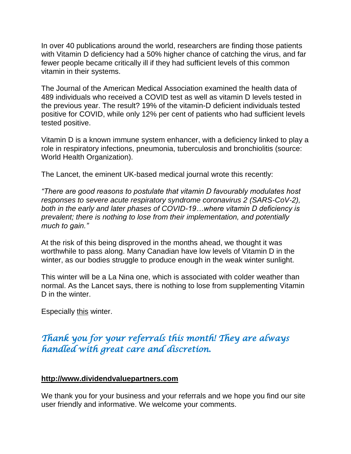In over 40 publications around the world, researchers are finding those patients with Vitamin D deficiency had a 50% higher chance of catching the virus, and far fewer people became critically ill if they had sufficient levels of this common vitamin in their systems.

The Journal of the American Medical Association examined the health data of 489 individuals who received a COVID test as well as vitamin D levels tested in the previous year. The result? 19% of the vitamin-D deficient individuals tested positive for COVID, while only 12% per cent of patients who had sufficient levels tested positive.

Vitamin D is a known immune system enhancer, with a deficiency linked to play a role in respiratory infections, pneumonia, tuberculosis and bronchiolitis (source: World Health Organization).

The Lancet, the eminent UK-based medical journal wrote this recently:

*"There are good reasons to postulate that vitamin D favourably modulates host responses to severe acute respiratory syndrome coronavirus 2 (SARS-CoV-2), both in the early and later phases of COVID-19…where vitamin D deficiency is prevalent; there is nothing to lose from their implementation, and potentially much to gain."*

At the risk of this being disproved in the months ahead, we thought it was worthwhile to pass along. Many Canadian have low levels of Vitamin D in the winter, as our bodies struggle to produce enough in the weak winter sunlight.

This winter will be a La Nina one, which is associated with colder weather than normal. As the Lancet says, there is nothing to lose from supplementing Vitamin D in the winter.

Especially this winter.

# *Thank you for your referrals this month! They are always handled with great care and discretion.*

#### **[http://www.dividendvaluepartners.com](https://nam11.safelinks.protection.outlook.com/?url=https%3A%2F%2Furldefense.proofpoint.com%2Fv2%2Furl%3Fu%3Dhttps-3A__nam11.safelinks.protection.outlook.com_-3Furl-3Dhttps-253A-252F-252Furldefense.proofpoint.com-252Fv2-252Furl-253Fu-253Dhttp-2D3A-5F-5Fwww.dividendvaluepartners.com-2526d-253DDwMFAw-2526c-253DK3dQCUGiI1B95NJ6cl3GoyhMW2dvBOfimZA-2D83UXll0-2526r-253D-5F6MBBSGYsFznIBwslhTiqBKEz4pHUCTd-5F9tbh-5FEpUMY-2526m-253DscBAtuMDuWZwK1IVr5YXjdB6aRS-2DfaGHAMq3jOn6sJU-2526s-253DenZqe4ZgcjH-5F33x5dT-2DvZq9A37d4AhNkXvjc6AbmYww-2526e-253D-26data-3D02-257C01-257C-257Cc172461ecbee4482512908d85e8192cf-257C84df9e7fe9f640afb435aaaaaaaaaaaa-257C1-257C0-257C637363258183615686-26sdata-3DewMvepveEmLgP7SL0jTlvLtATqW9IhbJ2C3UL0Em04c-253D-26reserved-3D0%26d%3DDwMF-g%26c%3DK3dQCUGiI1B95NJ6cl3GoyhMW2dvBOfimZA-83UXll0%26r%3D_6MBBSGYsFznIBwslhTiqBKEz4pHUCTd_9tbh_EpUMY%26m%3D7qOaEnVxLdGuCP74qXGTNk9xkBSFm8R3CYYmRfTv9PQ%26s%3DW8OEBAbaLee5suYwpNsPIikduscCx0SIuOWzAWRhAvc%26e%3D&data=02%7C01%7C%7C9d838c7f34c341efe20b08d85f35311e%7C84df9e7fe9f640afb435aaaaaaaaaaaa%7C1%7C0%7C637364029545659901&sdata=QFGCfon93jnKc6M%2FvOJ5KADZ5y3r3Mk6GG6uy4gLF9w%3D&reserved=0)**

We thank you for your business and your referrals and we hope you find our site user friendly and informative. We welcome your comments.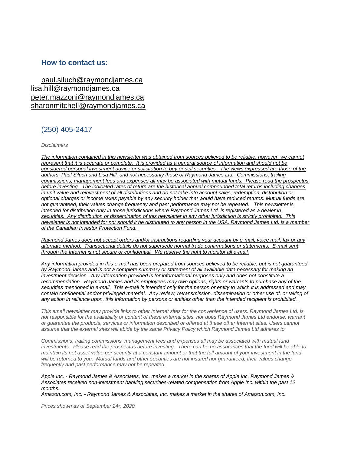#### **How to contact us:**

[paul.siluch@raymondjames.ca](https://nam11.safelinks.protection.outlook.com/?url=https%3A%2F%2Furldefense.proofpoint.com%2Fv2%2Furl%3Fu%3Dhttps-3A__nam11.safelinks.protection.outlook.com_-3Furl-3Dhttps-253A-252F-252Fowa-2Dkel.raymondjames.ca-252Fowa-252Fredir.aspx-253FSURL-253Dz0BxOCXDlQ-2DAad1f-5Fa9igaARxm5Rd1VXE7UcmD4mZ3IZiacj7DPTCG0AYQBpAGwAdABvADoAcABhAHUAbAAuAHMAaQBsAHUAYwBoAEAAcgBhAHkAbQBvAG4AZABqAGEAbQBlAHMALgBjAGEA-2526URL-253Dmailto-25253apaul.siluch-252540raymondjames.ca-26data-3D02-257C01-257C-257Cc172461ecbee4482512908d85e8192cf-257C84df9e7fe9f640afb435aaaaaaaaaaaa-257C1-257C0-257C637363258183625679-26sdata-3DHJ7PtuamH3ey-252Bis0LQS7WLUtHpHoAnxnHrYxprmWKn4-253D-26reserved-3D0%26d%3DDwMF-g%26c%3DK3dQCUGiI1B95NJ6cl3GoyhMW2dvBOfimZA-83UXll0%26r%3D_6MBBSGYsFznIBwslhTiqBKEz4pHUCTd_9tbh_EpUMY%26m%3D7qOaEnVxLdGuCP74qXGTNk9xkBSFm8R3CYYmRfTv9PQ%26s%3DTKyIHrHn9jy3BGThbM3t6qa96Jt8NZSlnsJ21h5JIRM%26e%3D&data=02%7C01%7C%7C9d838c7f34c341efe20b08d85f35311e%7C84df9e7fe9f640afb435aaaaaaaaaaaa%7C1%7C0%7C637364029545669896&sdata=U98Y0adfkGaowzPXPhDeffRcZNCtXVe0tkiohv6KMHw%3D&reserved=0) [lisa.hill@raymondjames.ca](https://nam11.safelinks.protection.outlook.com/?url=https%3A%2F%2Furldefense.proofpoint.com%2Fv2%2Furl%3Fu%3Dhttps-3A__nam11.safelinks.protection.outlook.com_-3Furl-3Dhttps-253A-252F-252Fowa-2Dkel.raymondjames.ca-252Fowa-252Fredir.aspx-253FSURL-253DglaBgdTdxPMFpiw4eumg-2DPzZXpo9vJyObrXLs1TKtIAZiacj7DPTCG0AYQBpAGwAdABvADoAbABpAHMAYQAuAGgAaQBsAGwAQAByAGEAeQBtAG8AbgBkAGoAYQBtAGUAcwAuAGMAYQA.-2526URL-253Dmailto-25253alisa.hill-252540raymondjames.ca-26data-3D02-257C01-257C-257Cc172461ecbee4482512908d85e8192cf-257C84df9e7fe9f640afb435aaaaaaaaaaaa-257C1-257C0-257C637363258183625679-26sdata-3DlqUdr0V-252Bbj4LaURrM2MSPIDvGfk5bLYx0U1BkRoTrH4-253D-26reserved-3D0%26d%3DDwMF-g%26c%3DK3dQCUGiI1B95NJ6cl3GoyhMW2dvBOfimZA-83UXll0%26r%3D_6MBBSGYsFznIBwslhTiqBKEz4pHUCTd_9tbh_EpUMY%26m%3D7qOaEnVxLdGuCP74qXGTNk9xkBSFm8R3CYYmRfTv9PQ%26s%3Dc8alCSC-b4YnoP6-1kuPw_KdDfdlIvu8oQ_wi3WtrQw%26e%3D&data=02%7C01%7C%7C9d838c7f34c341efe20b08d85f35311e%7C84df9e7fe9f640afb435aaaaaaaaaaaa%7C1%7C0%7C637364029545669896&sdata=XatZ93G9uNMTz6ls3m1iAOhdzBUhFcNPqdszmiY0PIk%3D&reserved=0) [peter.mazzoni@raymondjames.ca](https://nam11.safelinks.protection.outlook.com/?url=https%3A%2F%2Furldefense.proofpoint.com%2Fv2%2Furl%3Fu%3Dhttps-3A__nam11.safelinks.protection.outlook.com_-3Furl-3Dhttps-253A-252F-252Fowa-2Dkel.raymondjames.ca-252Fowa-252Fredir.aspx-253FSURL-253D3c7mDL9-2DcZxYXt7CvkOu20QVFy1WCaDQxUZ3BQE6vecZiacj7DPTCG0AYQBpAGwAdABvADoAcABlAHQAZQByAC4AbQBhAHoAegBvAG4AaQBAAHIAYQB5AG0AbwBuAGQAagBhAG0AZQBzAC4AYwBhAA..-2526URL-253Dmailto-25253apeter.mazzoni-252540raymondjames.ca-26data-3D02-257C01-257C-257Cc172461ecbee4482512908d85e8192cf-257C84df9e7fe9f640afb435aaaaaaaaaaaa-257C1-257C0-257C637363258183635674-26sdata-3D1suYGaoqcgH5k419ERrAlAGzpG-252BufP-252FAE-252FdOZxq8Cus-253D-26reserved-3D0%26d%3DDwMF-g%26c%3DK3dQCUGiI1B95NJ6cl3GoyhMW2dvBOfimZA-83UXll0%26r%3D_6MBBSGYsFznIBwslhTiqBKEz4pHUCTd_9tbh_EpUMY%26m%3D7qOaEnVxLdGuCP74qXGTNk9xkBSFm8R3CYYmRfTv9PQ%26s%3Dmwchq7c2WnuY-oLgiUBkMdFmrEXBtoSxe2YfSBkWXZU%26e%3D&data=02%7C01%7C%7C9d838c7f34c341efe20b08d85f35311e%7C84df9e7fe9f640afb435aaaaaaaaaaaa%7C1%7C0%7C637364029545679890&sdata=p7lfcwwrv17L3DoB9NXqqHORMjfa0DJzYUabOWjq%2BjA%3D&reserved=0) [sharonmitchell@raymondjames.ca](mailto:sharonmitchell@raymondjames.ca)

#### (250) 405-2417

*Disclaimers*

*[The information contained in this newsletter was obtained from sources believed to be reliable, however, we cannot](https://nam11.safelinks.protection.outlook.com/?url=https%3A%2F%2Furldefense.proofpoint.com%2Fv2%2Furl%3Fu%3Dhttps-3A__nam11.safelinks.protection.outlook.com_-3Furl-3Dhttps-253A-252F-252Fowa-2Dkel.raymondjames.ca-252Fowa-252Fredir.aspx-253FSURL-253Dz0BxOCXDlQ-2DAad1f-5Fa9igaARxm5Rd1VXE7UcmD4mZ3IZiacj7DPTCG0AYQBpAGwAdABvADoAcABhAHUAbAAuAHMAaQBsAHUAYwBoAEAAcgBhAHkAbQBvAG4AZABqAGEAbQBlAHMALgBjAGEA-2526URL-253Dmailto-25253apaul.siluch-252540raymondjames.ca-26data-3D02-257C01-257C-257Cc172461ecbee4482512908d85e8192cf-257C84df9e7fe9f640afb435aaaaaaaaaaaa-257C1-257C0-257C637363258183635674-26sdata-3DYxnEd1j-252BPKZ7O-252BaYYWd4rEqnA-252FsZJqXh5i43hxevA-252Bk-253D-26reserved-3D0%26d%3DDwMF-g%26c%3DK3dQCUGiI1B95NJ6cl3GoyhMW2dvBOfimZA-83UXll0%26r%3D_6MBBSGYsFznIBwslhTiqBKEz4pHUCTd_9tbh_EpUMY%26m%3D7qOaEnVxLdGuCP74qXGTNk9xkBSFm8R3CYYmRfTv9PQ%26s%3DnStAVPWry0CYI3VlF6rPrM0m6uEmVBMWcLnjvw4FcOQ%26e%3D&data=02%7C01%7C%7C9d838c7f34c341efe20b08d85f35311e%7C84df9e7fe9f640afb435aaaaaaaaaaaa%7C1%7C0%7C637364029545679890&sdata=DQKaV%2FzmnnkFzeZCqk08Z1zviBDDi3mIfVoE4lOOYRc%3D&reserved=0)  represent that it is accurate or complete. [It is provided as a general source of information and should not be](https://nam11.safelinks.protection.outlook.com/?url=https%3A%2F%2Furldefense.proofpoint.com%2Fv2%2Furl%3Fu%3Dhttps-3A__nam11.safelinks.protection.outlook.com_-3Furl-3Dhttps-253A-252F-252Fowa-2Dkel.raymondjames.ca-252Fowa-252Fredir.aspx-253FSURL-253Dz0BxOCXDlQ-2DAad1f-5Fa9igaARxm5Rd1VXE7UcmD4mZ3IZiacj7DPTCG0AYQBpAGwAdABvADoAcABhAHUAbAAuAHMAaQBsAHUAYwBoAEAAcgBhAHkAbQBvAG4AZABqAGEAbQBlAHMALgBjAGEA-2526URL-253Dmailto-25253apaul.siluch-252540raymondjames.ca-26data-3D02-257C01-257C-257Cc172461ecbee4482512908d85e8192cf-257C84df9e7fe9f640afb435aaaaaaaaaaaa-257C1-257C0-257C637363258183635674-26sdata-3DYxnEd1j-252BPKZ7O-252BaYYWd4rEqnA-252FsZJqXh5i43hxevA-252Bk-253D-26reserved-3D0%26d%3DDwMF-g%26c%3DK3dQCUGiI1B95NJ6cl3GoyhMW2dvBOfimZA-83UXll0%26r%3D_6MBBSGYsFznIBwslhTiqBKEz4pHUCTd_9tbh_EpUMY%26m%3D7qOaEnVxLdGuCP74qXGTNk9xkBSFm8R3CYYmRfTv9PQ%26s%3DnStAVPWry0CYI3VlF6rPrM0m6uEmVBMWcLnjvw4FcOQ%26e%3D&data=02%7C01%7C%7C9d838c7f34c341efe20b08d85f35311e%7C84df9e7fe9f640afb435aaaaaaaaaaaa%7C1%7C0%7C637364029545679890&sdata=DQKaV%2FzmnnkFzeZCqk08Z1zviBDDi3mIfVoE4lOOYRc%3D&reserved=0)  [considered personal investment advice or solicitation to buy or sell securities.](https://nam11.safelinks.protection.outlook.com/?url=https%3A%2F%2Furldefense.proofpoint.com%2Fv2%2Furl%3Fu%3Dhttps-3A__nam11.safelinks.protection.outlook.com_-3Furl-3Dhttps-253A-252F-252Fowa-2Dkel.raymondjames.ca-252Fowa-252Fredir.aspx-253FSURL-253Dz0BxOCXDlQ-2DAad1f-5Fa9igaARxm5Rd1VXE7UcmD4mZ3IZiacj7DPTCG0AYQBpAGwAdABvADoAcABhAHUAbAAuAHMAaQBsAHUAYwBoAEAAcgBhAHkAbQBvAG4AZABqAGEAbQBlAHMALgBjAGEA-2526URL-253Dmailto-25253apaul.siluch-252540raymondjames.ca-26data-3D02-257C01-257C-257Cc172461ecbee4482512908d85e8192cf-257C84df9e7fe9f640afb435aaaaaaaaaaaa-257C1-257C0-257C637363258183635674-26sdata-3DYxnEd1j-252BPKZ7O-252BaYYWd4rEqnA-252FsZJqXh5i43hxevA-252Bk-253D-26reserved-3D0%26d%3DDwMF-g%26c%3DK3dQCUGiI1B95NJ6cl3GoyhMW2dvBOfimZA-83UXll0%26r%3D_6MBBSGYsFznIBwslhTiqBKEz4pHUCTd_9tbh_EpUMY%26m%3D7qOaEnVxLdGuCP74qXGTNk9xkBSFm8R3CYYmRfTv9PQ%26s%3DnStAVPWry0CYI3VlF6rPrM0m6uEmVBMWcLnjvw4FcOQ%26e%3D&data=02%7C01%7C%7C9d838c7f34c341efe20b08d85f35311e%7C84df9e7fe9f640afb435aaaaaaaaaaaa%7C1%7C0%7C637364029545679890&sdata=DQKaV%2FzmnnkFzeZCqk08Z1zviBDDi3mIfVoE4lOOYRc%3D&reserved=0) The views expressed are those of the [authors, Paul Siluch and Lisa Hill, and not necessarily those of Raymond James Ltd.](https://nam11.safelinks.protection.outlook.com/?url=https%3A%2F%2Furldefense.proofpoint.com%2Fv2%2Furl%3Fu%3Dhttps-3A__nam11.safelinks.protection.outlook.com_-3Furl-3Dhttps-253A-252F-252Fowa-2Dkel.raymondjames.ca-252Fowa-252Fredir.aspx-253FSURL-253Dz0BxOCXDlQ-2DAad1f-5Fa9igaARxm5Rd1VXE7UcmD4mZ3IZiacj7DPTCG0AYQBpAGwAdABvADoAcABhAHUAbAAuAHMAaQBsAHUAYwBoAEAAcgBhAHkAbQBvAG4AZABqAGEAbQBlAHMALgBjAGEA-2526URL-253Dmailto-25253apaul.siluch-252540raymondjames.ca-26data-3D02-257C01-257C-257Cc172461ecbee4482512908d85e8192cf-257C84df9e7fe9f640afb435aaaaaaaaaaaa-257C1-257C0-257C637363258183635674-26sdata-3DYxnEd1j-252BPKZ7O-252BaYYWd4rEqnA-252FsZJqXh5i43hxevA-252Bk-253D-26reserved-3D0%26d%3DDwMF-g%26c%3DK3dQCUGiI1B95NJ6cl3GoyhMW2dvBOfimZA-83UXll0%26r%3D_6MBBSGYsFznIBwslhTiqBKEz4pHUCTd_9tbh_EpUMY%26m%3D7qOaEnVxLdGuCP74qXGTNk9xkBSFm8R3CYYmRfTv9PQ%26s%3DnStAVPWry0CYI3VlF6rPrM0m6uEmVBMWcLnjvw4FcOQ%26e%3D&data=02%7C01%7C%7C9d838c7f34c341efe20b08d85f35311e%7C84df9e7fe9f640afb435aaaaaaaaaaaa%7C1%7C0%7C637364029545679890&sdata=DQKaV%2FzmnnkFzeZCqk08Z1zviBDDi3mIfVoE4lOOYRc%3D&reserved=0) Commissions, trailing [commissions, management fees and expenses all may be associated with mutual funds.](https://nam11.safelinks.protection.outlook.com/?url=https%3A%2F%2Furldefense.proofpoint.com%2Fv2%2Furl%3Fu%3Dhttps-3A__nam11.safelinks.protection.outlook.com_-3Furl-3Dhttps-253A-252F-252Fowa-2Dkel.raymondjames.ca-252Fowa-252Fredir.aspx-253FSURL-253Dz0BxOCXDlQ-2DAad1f-5Fa9igaARxm5Rd1VXE7UcmD4mZ3IZiacj7DPTCG0AYQBpAGwAdABvADoAcABhAHUAbAAuAHMAaQBsAHUAYwBoAEAAcgBhAHkAbQBvAG4AZABqAGEAbQBlAHMALgBjAGEA-2526URL-253Dmailto-25253apaul.siluch-252540raymondjames.ca-26data-3D02-257C01-257C-257Cc172461ecbee4482512908d85e8192cf-257C84df9e7fe9f640afb435aaaaaaaaaaaa-257C1-257C0-257C637363258183635674-26sdata-3DYxnEd1j-252BPKZ7O-252BaYYWd4rEqnA-252FsZJqXh5i43hxevA-252Bk-253D-26reserved-3D0%26d%3DDwMF-g%26c%3DK3dQCUGiI1B95NJ6cl3GoyhMW2dvBOfimZA-83UXll0%26r%3D_6MBBSGYsFznIBwslhTiqBKEz4pHUCTd_9tbh_EpUMY%26m%3D7qOaEnVxLdGuCP74qXGTNk9xkBSFm8R3CYYmRfTv9PQ%26s%3DnStAVPWry0CYI3VlF6rPrM0m6uEmVBMWcLnjvw4FcOQ%26e%3D&data=02%7C01%7C%7C9d838c7f34c341efe20b08d85f35311e%7C84df9e7fe9f640afb435aaaaaaaaaaaa%7C1%7C0%7C637364029545679890&sdata=DQKaV%2FzmnnkFzeZCqk08Z1zviBDDi3mIfVoE4lOOYRc%3D&reserved=0) Please read the prospectus before investing. [The indicated rates of return are the historical annual compounded total returns including changes](https://nam11.safelinks.protection.outlook.com/?url=https%3A%2F%2Furldefense.proofpoint.com%2Fv2%2Furl%3Fu%3Dhttps-3A__nam11.safelinks.protection.outlook.com_-3Furl-3Dhttps-253A-252F-252Fowa-2Dkel.raymondjames.ca-252Fowa-252Fredir.aspx-253FSURL-253Dz0BxOCXDlQ-2DAad1f-5Fa9igaARxm5Rd1VXE7UcmD4mZ3IZiacj7DPTCG0AYQBpAGwAdABvADoAcABhAHUAbAAuAHMAaQBsAHUAYwBoAEAAcgBhAHkAbQBvAG4AZABqAGEAbQBlAHMALgBjAGEA-2526URL-253Dmailto-25253apaul.siluch-252540raymondjames.ca-26data-3D02-257C01-257C-257Cc172461ecbee4482512908d85e8192cf-257C84df9e7fe9f640afb435aaaaaaaaaaaa-257C1-257C0-257C637363258183635674-26sdata-3DYxnEd1j-252BPKZ7O-252BaYYWd4rEqnA-252FsZJqXh5i43hxevA-252Bk-253D-26reserved-3D0%26d%3DDwMF-g%26c%3DK3dQCUGiI1B95NJ6cl3GoyhMW2dvBOfimZA-83UXll0%26r%3D_6MBBSGYsFznIBwslhTiqBKEz4pHUCTd_9tbh_EpUMY%26m%3D7qOaEnVxLdGuCP74qXGTNk9xkBSFm8R3CYYmRfTv9PQ%26s%3DnStAVPWry0CYI3VlF6rPrM0m6uEmVBMWcLnjvw4FcOQ%26e%3D&data=02%7C01%7C%7C9d838c7f34c341efe20b08d85f35311e%7C84df9e7fe9f640afb435aaaaaaaaaaaa%7C1%7C0%7C637364029545679890&sdata=DQKaV%2FzmnnkFzeZCqk08Z1zviBDDi3mIfVoE4lOOYRc%3D&reserved=0)  in unit value [and reinvestment of all distributions and do not take into account sales, redemption, distribution or](https://nam11.safelinks.protection.outlook.com/?url=https%3A%2F%2Furldefense.proofpoint.com%2Fv2%2Furl%3Fu%3Dhttps-3A__nam11.safelinks.protection.outlook.com_-3Furl-3Dhttps-253A-252F-252Fowa-2Dkel.raymondjames.ca-252Fowa-252Fredir.aspx-253FSURL-253Dz0BxOCXDlQ-2DAad1f-5Fa9igaARxm5Rd1VXE7UcmD4mZ3IZiacj7DPTCG0AYQBpAGwAdABvADoAcABhAHUAbAAuAHMAaQBsAHUAYwBoAEAAcgBhAHkAbQBvAG4AZABqAGEAbQBlAHMALgBjAGEA-2526URL-253Dmailto-25253apaul.siluch-252540raymondjames.ca-26data-3D02-257C01-257C-257Cc172461ecbee4482512908d85e8192cf-257C84df9e7fe9f640afb435aaaaaaaaaaaa-257C1-257C0-257C637363258183635674-26sdata-3DYxnEd1j-252BPKZ7O-252BaYYWd4rEqnA-252FsZJqXh5i43hxevA-252Bk-253D-26reserved-3D0%26d%3DDwMF-g%26c%3DK3dQCUGiI1B95NJ6cl3GoyhMW2dvBOfimZA-83UXll0%26r%3D_6MBBSGYsFznIBwslhTiqBKEz4pHUCTd_9tbh_EpUMY%26m%3D7qOaEnVxLdGuCP74qXGTNk9xkBSFm8R3CYYmRfTv9PQ%26s%3DnStAVPWry0CYI3VlF6rPrM0m6uEmVBMWcLnjvw4FcOQ%26e%3D&data=02%7C01%7C%7C9d838c7f34c341efe20b08d85f35311e%7C84df9e7fe9f640afb435aaaaaaaaaaaa%7C1%7C0%7C637364029545679890&sdata=DQKaV%2FzmnnkFzeZCqk08Z1zviBDDi3mIfVoE4lOOYRc%3D&reserved=0)  [optional charges or income taxes payable by any security holder that would have reduced returns. Mutual funds are](https://nam11.safelinks.protection.outlook.com/?url=https%3A%2F%2Furldefense.proofpoint.com%2Fv2%2Furl%3Fu%3Dhttps-3A__nam11.safelinks.protection.outlook.com_-3Furl-3Dhttps-253A-252F-252Fowa-2Dkel.raymondjames.ca-252Fowa-252Fredir.aspx-253FSURL-253Dz0BxOCXDlQ-2DAad1f-5Fa9igaARxm5Rd1VXE7UcmD4mZ3IZiacj7DPTCG0AYQBpAGwAdABvADoAcABhAHUAbAAuAHMAaQBsAHUAYwBoAEAAcgBhAHkAbQBvAG4AZABqAGEAbQBlAHMALgBjAGEA-2526URL-253Dmailto-25253apaul.siluch-252540raymondjames.ca-26data-3D02-257C01-257C-257Cc172461ecbee4482512908d85e8192cf-257C84df9e7fe9f640afb435aaaaaaaaaaaa-257C1-257C0-257C637363258183635674-26sdata-3DYxnEd1j-252BPKZ7O-252BaYYWd4rEqnA-252FsZJqXh5i43hxevA-252Bk-253D-26reserved-3D0%26d%3DDwMF-g%26c%3DK3dQCUGiI1B95NJ6cl3GoyhMW2dvBOfimZA-83UXll0%26r%3D_6MBBSGYsFznIBwslhTiqBKEz4pHUCTd_9tbh_EpUMY%26m%3D7qOaEnVxLdGuCP74qXGTNk9xkBSFm8R3CYYmRfTv9PQ%26s%3DnStAVPWry0CYI3VlF6rPrM0m6uEmVBMWcLnjvw4FcOQ%26e%3D&data=02%7C01%7C%7C9d838c7f34c341efe20b08d85f35311e%7C84df9e7fe9f640afb435aaaaaaaaaaaa%7C1%7C0%7C637364029545679890&sdata=DQKaV%2FzmnnkFzeZCqk08Z1zviBDDi3mIfVoE4lOOYRc%3D&reserved=0)  [not guaranteed, their values change frequently and past performance may not be repeated.](https://nam11.safelinks.protection.outlook.com/?url=https%3A%2F%2Furldefense.proofpoint.com%2Fv2%2Furl%3Fu%3Dhttps-3A__nam11.safelinks.protection.outlook.com_-3Furl-3Dhttps-253A-252F-252Fowa-2Dkel.raymondjames.ca-252Fowa-252Fredir.aspx-253FSURL-253Dz0BxOCXDlQ-2DAad1f-5Fa9igaARxm5Rd1VXE7UcmD4mZ3IZiacj7DPTCG0AYQBpAGwAdABvADoAcABhAHUAbAAuAHMAaQBsAHUAYwBoAEAAcgBhAHkAbQBvAG4AZABqAGEAbQBlAHMALgBjAGEA-2526URL-253Dmailto-25253apaul.siluch-252540raymondjames.ca-26data-3D02-257C01-257C-257Cc172461ecbee4482512908d85e8192cf-257C84df9e7fe9f640afb435aaaaaaaaaaaa-257C1-257C0-257C637363258183635674-26sdata-3DYxnEd1j-252BPKZ7O-252BaYYWd4rEqnA-252FsZJqXh5i43hxevA-252Bk-253D-26reserved-3D0%26d%3DDwMF-g%26c%3DK3dQCUGiI1B95NJ6cl3GoyhMW2dvBOfimZA-83UXll0%26r%3D_6MBBSGYsFznIBwslhTiqBKEz4pHUCTd_9tbh_EpUMY%26m%3D7qOaEnVxLdGuCP74qXGTNk9xkBSFm8R3CYYmRfTv9PQ%26s%3DnStAVPWry0CYI3VlF6rPrM0m6uEmVBMWcLnjvw4FcOQ%26e%3D&data=02%7C01%7C%7C9d838c7f34c341efe20b08d85f35311e%7C84df9e7fe9f640afb435aaaaaaaaaaaa%7C1%7C0%7C637364029545679890&sdata=DQKaV%2FzmnnkFzeZCqk08Z1zviBDDi3mIfVoE4lOOYRc%3D&reserved=0) This newsletter is [intended for distribution only in those jurisdictions where Raymond James Ltd. is registered as a dealer in](https://nam11.safelinks.protection.outlook.com/?url=https%3A%2F%2Furldefense.proofpoint.com%2Fv2%2Furl%3Fu%3Dhttps-3A__nam11.safelinks.protection.outlook.com_-3Furl-3Dhttps-253A-252F-252Fowa-2Dkel.raymondjames.ca-252Fowa-252Fredir.aspx-253FSURL-253Dz0BxOCXDlQ-2DAad1f-5Fa9igaARxm5Rd1VXE7UcmD4mZ3IZiacj7DPTCG0AYQBpAGwAdABvADoAcABhAHUAbAAuAHMAaQBsAHUAYwBoAEAAcgBhAHkAbQBvAG4AZABqAGEAbQBlAHMALgBjAGEA-2526URL-253Dmailto-25253apaul.siluch-252540raymondjames.ca-26data-3D02-257C01-257C-257Cc172461ecbee4482512908d85e8192cf-257C84df9e7fe9f640afb435aaaaaaaaaaaa-257C1-257C0-257C637363258183635674-26sdata-3DYxnEd1j-252BPKZ7O-252BaYYWd4rEqnA-252FsZJqXh5i43hxevA-252Bk-253D-26reserved-3D0%26d%3DDwMF-g%26c%3DK3dQCUGiI1B95NJ6cl3GoyhMW2dvBOfimZA-83UXll0%26r%3D_6MBBSGYsFznIBwslhTiqBKEz4pHUCTd_9tbh_EpUMY%26m%3D7qOaEnVxLdGuCP74qXGTNk9xkBSFm8R3CYYmRfTv9PQ%26s%3DnStAVPWry0CYI3VlF6rPrM0m6uEmVBMWcLnjvw4FcOQ%26e%3D&data=02%7C01%7C%7C9d838c7f34c341efe20b08d85f35311e%7C84df9e7fe9f640afb435aaaaaaaaaaaa%7C1%7C0%7C637364029545679890&sdata=DQKaV%2FzmnnkFzeZCqk08Z1zviBDDi3mIfVoE4lOOYRc%3D&reserved=0)  securities. [Any distribution or dissemination of this newsletter in any other jurisdiction is strictly prohibited.](https://nam11.safelinks.protection.outlook.com/?url=https%3A%2F%2Furldefense.proofpoint.com%2Fv2%2Furl%3Fu%3Dhttps-3A__nam11.safelinks.protection.outlook.com_-3Furl-3Dhttps-253A-252F-252Fowa-2Dkel.raymondjames.ca-252Fowa-252Fredir.aspx-253FSURL-253Dz0BxOCXDlQ-2DAad1f-5Fa9igaARxm5Rd1VXE7UcmD4mZ3IZiacj7DPTCG0AYQBpAGwAdABvADoAcABhAHUAbAAuAHMAaQBsAHUAYwBoAEAAcgBhAHkAbQBvAG4AZABqAGEAbQBlAHMALgBjAGEA-2526URL-253Dmailto-25253apaul.siluch-252540raymondjames.ca-26data-3D02-257C01-257C-257Cc172461ecbee4482512908d85e8192cf-257C84df9e7fe9f640afb435aaaaaaaaaaaa-257C1-257C0-257C637363258183635674-26sdata-3DYxnEd1j-252BPKZ7O-252BaYYWd4rEqnA-252FsZJqXh5i43hxevA-252Bk-253D-26reserved-3D0%26d%3DDwMF-g%26c%3DK3dQCUGiI1B95NJ6cl3GoyhMW2dvBOfimZA-83UXll0%26r%3D_6MBBSGYsFznIBwslhTiqBKEz4pHUCTd_9tbh_EpUMY%26m%3D7qOaEnVxLdGuCP74qXGTNk9xkBSFm8R3CYYmRfTv9PQ%26s%3DnStAVPWry0CYI3VlF6rPrM0m6uEmVBMWcLnjvw4FcOQ%26e%3D&data=02%7C01%7C%7C9d838c7f34c341efe20b08d85f35311e%7C84df9e7fe9f640afb435aaaaaaaaaaaa%7C1%7C0%7C637364029545679890&sdata=DQKaV%2FzmnnkFzeZCqk08Z1zviBDDi3mIfVoE4lOOYRc%3D&reserved=0) This [newsletter is not intended for nor should it be distributed to any person in the USA. Raymond James Ltd. is a member](https://nam11.safelinks.protection.outlook.com/?url=https%3A%2F%2Furldefense.proofpoint.com%2Fv2%2Furl%3Fu%3Dhttps-3A__nam11.safelinks.protection.outlook.com_-3Furl-3Dhttps-253A-252F-252Fowa-2Dkel.raymondjames.ca-252Fowa-252Fredir.aspx-253FSURL-253Dz0BxOCXDlQ-2DAad1f-5Fa9igaARxm5Rd1VXE7UcmD4mZ3IZiacj7DPTCG0AYQBpAGwAdABvADoAcABhAHUAbAAuAHMAaQBsAHUAYwBoAEAAcgBhAHkAbQBvAG4AZABqAGEAbQBlAHMALgBjAGEA-2526URL-253Dmailto-25253apaul.siluch-252540raymondjames.ca-26data-3D02-257C01-257C-257Cc172461ecbee4482512908d85e8192cf-257C84df9e7fe9f640afb435aaaaaaaaaaaa-257C1-257C0-257C637363258183635674-26sdata-3DYxnEd1j-252BPKZ7O-252BaYYWd4rEqnA-252FsZJqXh5i43hxevA-252Bk-253D-26reserved-3D0%26d%3DDwMF-g%26c%3DK3dQCUGiI1B95NJ6cl3GoyhMW2dvBOfimZA-83UXll0%26r%3D_6MBBSGYsFznIBwslhTiqBKEz4pHUCTd_9tbh_EpUMY%26m%3D7qOaEnVxLdGuCP74qXGTNk9xkBSFm8R3CYYmRfTv9PQ%26s%3DnStAVPWry0CYI3VlF6rPrM0m6uEmVBMWcLnjvw4FcOQ%26e%3D&data=02%7C01%7C%7C9d838c7f34c341efe20b08d85f35311e%7C84df9e7fe9f640afb435aaaaaaaaaaaa%7C1%7C0%7C637364029545679890&sdata=DQKaV%2FzmnnkFzeZCqk08Z1zviBDDi3mIfVoE4lOOYRc%3D&reserved=0)  [of the Canadian Investor Protection Fund.](https://nam11.safelinks.protection.outlook.com/?url=https%3A%2F%2Furldefense.proofpoint.com%2Fv2%2Furl%3Fu%3Dhttps-3A__nam11.safelinks.protection.outlook.com_-3Furl-3Dhttps-253A-252F-252Fowa-2Dkel.raymondjames.ca-252Fowa-252Fredir.aspx-253FSURL-253Dz0BxOCXDlQ-2DAad1f-5Fa9igaARxm5Rd1VXE7UcmD4mZ3IZiacj7DPTCG0AYQBpAGwAdABvADoAcABhAHUAbAAuAHMAaQBsAHUAYwBoAEAAcgBhAHkAbQBvAG4AZABqAGEAbQBlAHMALgBjAGEA-2526URL-253Dmailto-25253apaul.siluch-252540raymondjames.ca-26data-3D02-257C01-257C-257Cc172461ecbee4482512908d85e8192cf-257C84df9e7fe9f640afb435aaaaaaaaaaaa-257C1-257C0-257C637363258183635674-26sdata-3DYxnEd1j-252BPKZ7O-252BaYYWd4rEqnA-252FsZJqXh5i43hxevA-252Bk-253D-26reserved-3D0%26d%3DDwMF-g%26c%3DK3dQCUGiI1B95NJ6cl3GoyhMW2dvBOfimZA-83UXll0%26r%3D_6MBBSGYsFznIBwslhTiqBKEz4pHUCTd_9tbh_EpUMY%26m%3D7qOaEnVxLdGuCP74qXGTNk9xkBSFm8R3CYYmRfTv9PQ%26s%3DnStAVPWry0CYI3VlF6rPrM0m6uEmVBMWcLnjvw4FcOQ%26e%3D&data=02%7C01%7C%7C9d838c7f34c341efe20b08d85f35311e%7C84df9e7fe9f640afb435aaaaaaaaaaaa%7C1%7C0%7C637364029545679890&sdata=DQKaV%2FzmnnkFzeZCqk08Z1zviBDDi3mIfVoE4lOOYRc%3D&reserved=0)* 

*Raymond James [does not accept orders and/or instructions regarding your account by e-mail, voice mail, fax or any](https://nam11.safelinks.protection.outlook.com/?url=https%3A%2F%2Furldefense.proofpoint.com%2Fv2%2Furl%3Fu%3Dhttps-3A__nam11.safelinks.protection.outlook.com_-3Furl-3Dhttps-253A-252F-252Fowa-2Dkel.raymondjames.ca-252Fowa-252Fredir.aspx-253FSURL-253Dz0BxOCXDlQ-2DAad1f-5Fa9igaARxm5Rd1VXE7UcmD4mZ3IZiacj7DPTCG0AYQBpAGwAdABvADoAcABhAHUAbAAuAHMAaQBsAHUAYwBoAEAAcgBhAHkAbQBvAG4AZABqAGEAbQBlAHMALgBjAGEA-2526URL-253Dmailto-25253apaul.siluch-252540raymondjames.ca-26data-3D02-257C01-257C-257Cc172461ecbee4482512908d85e8192cf-257C84df9e7fe9f640afb435aaaaaaaaaaaa-257C1-257C0-257C637363258183645669-26sdata-3DjKvjWtH2krR43u3J3z5Cv9nHD0QMiBAUf4SY0jMfuYE-253D-26reserved-3D0%26d%3DDwMF-g%26c%3DK3dQCUGiI1B95NJ6cl3GoyhMW2dvBOfimZA-83UXll0%26r%3D_6MBBSGYsFznIBwslhTiqBKEz4pHUCTd_9tbh_EpUMY%26m%3D7qOaEnVxLdGuCP74qXGTNk9xkBSFm8R3CYYmRfTv9PQ%26s%3Dm8uHgNiRKEtIPVRoT8MsE-O97e6Q7JVm8rnhQdyv494%26e%3D&data=02%7C01%7C%7C9d838c7f34c341efe20b08d85f35311e%7C84df9e7fe9f640afb435aaaaaaaaaaaa%7C1%7C0%7C637364029545689887&sdata=VHWIK4v77Hg9Kc%2BACBPYC7S5colq2OrdDLEAcMJI5fI%3D&reserved=0)  alternate method. [Transactional details do not supersede normal trade confirmations or statements.](https://nam11.safelinks.protection.outlook.com/?url=https%3A%2F%2Furldefense.proofpoint.com%2Fv2%2Furl%3Fu%3Dhttps-3A__nam11.safelinks.protection.outlook.com_-3Furl-3Dhttps-253A-252F-252Fowa-2Dkel.raymondjames.ca-252Fowa-252Fredir.aspx-253FSURL-253Dz0BxOCXDlQ-2DAad1f-5Fa9igaARxm5Rd1VXE7UcmD4mZ3IZiacj7DPTCG0AYQBpAGwAdABvADoAcABhAHUAbAAuAHMAaQBsAHUAYwBoAEAAcgBhAHkAbQBvAG4AZABqAGEAbQBlAHMALgBjAGEA-2526URL-253Dmailto-25253apaul.siluch-252540raymondjames.ca-26data-3D02-257C01-257C-257Cc172461ecbee4482512908d85e8192cf-257C84df9e7fe9f640afb435aaaaaaaaaaaa-257C1-257C0-257C637363258183645669-26sdata-3DjKvjWtH2krR43u3J3z5Cv9nHD0QMiBAUf4SY0jMfuYE-253D-26reserved-3D0%26d%3DDwMF-g%26c%3DK3dQCUGiI1B95NJ6cl3GoyhMW2dvBOfimZA-83UXll0%26r%3D_6MBBSGYsFznIBwslhTiqBKEz4pHUCTd_9tbh_EpUMY%26m%3D7qOaEnVxLdGuCP74qXGTNk9xkBSFm8R3CYYmRfTv9PQ%26s%3Dm8uHgNiRKEtIPVRoT8MsE-O97e6Q7JVm8rnhQdyv494%26e%3D&data=02%7C01%7C%7C9d838c7f34c341efe20b08d85f35311e%7C84df9e7fe9f640afb435aaaaaaaaaaaa%7C1%7C0%7C637364029545689887&sdata=VHWIK4v77Hg9Kc%2BACBPYC7S5colq2OrdDLEAcMJI5fI%3D&reserved=0) E-mail sent [through the Internet is not secure or confidential.](https://nam11.safelinks.protection.outlook.com/?url=https%3A%2F%2Furldefense.proofpoint.com%2Fv2%2Furl%3Fu%3Dhttps-3A__nam11.safelinks.protection.outlook.com_-3Furl-3Dhttps-253A-252F-252Fowa-2Dkel.raymondjames.ca-252Fowa-252Fredir.aspx-253FSURL-253Dz0BxOCXDlQ-2DAad1f-5Fa9igaARxm5Rd1VXE7UcmD4mZ3IZiacj7DPTCG0AYQBpAGwAdABvADoAcABhAHUAbAAuAHMAaQBsAHUAYwBoAEAAcgBhAHkAbQBvAG4AZABqAGEAbQBlAHMALgBjAGEA-2526URL-253Dmailto-25253apaul.siluch-252540raymondjames.ca-26data-3D02-257C01-257C-257Cc172461ecbee4482512908d85e8192cf-257C84df9e7fe9f640afb435aaaaaaaaaaaa-257C1-257C0-257C637363258183645669-26sdata-3DjKvjWtH2krR43u3J3z5Cv9nHD0QMiBAUf4SY0jMfuYE-253D-26reserved-3D0%26d%3DDwMF-g%26c%3DK3dQCUGiI1B95NJ6cl3GoyhMW2dvBOfimZA-83UXll0%26r%3D_6MBBSGYsFznIBwslhTiqBKEz4pHUCTd_9tbh_EpUMY%26m%3D7qOaEnVxLdGuCP74qXGTNk9xkBSFm8R3CYYmRfTv9PQ%26s%3Dm8uHgNiRKEtIPVRoT8MsE-O97e6Q7JVm8rnhQdyv494%26e%3D&data=02%7C01%7C%7C9d838c7f34c341efe20b08d85f35311e%7C84df9e7fe9f640afb435aaaaaaaaaaaa%7C1%7C0%7C637364029545689887&sdata=VHWIK4v77Hg9Kc%2BACBPYC7S5colq2OrdDLEAcMJI5fI%3D&reserved=0) We reserve the right to monitor all e-mail.*

*[Any information provided in this e-mail has been prepared from sources believed to be reliable, but is not guaranteed](https://nam11.safelinks.protection.outlook.com/?url=https%3A%2F%2Furldefense.proofpoint.com%2Fv2%2Furl%3Fu%3Dhttps-3A__nam11.safelinks.protection.outlook.com_-3Furl-3Dhttps-253A-252F-252Fowa-2Dkel.raymondjames.ca-252Fowa-252Fredir.aspx-253FSURL-253Dz0BxOCXDlQ-2DAad1f-5Fa9igaARxm5Rd1VXE7UcmD4mZ3IZiacj7DPTCG0AYQBpAGwAdABvADoAcABhAHUAbAAuAHMAaQBsAHUAYwBoAEAAcgBhAHkAbQBvAG4AZABqAGEAbQBlAHMALgBjAGEA-2526URL-253Dmailto-25253apaul.siluch-252540raymondjames.ca-26data-3D02-257C01-257C-257Cc172461ecbee4482512908d85e8192cf-257C84df9e7fe9f640afb435aaaaaaaaaaaa-257C1-257C0-257C637363258183645669-26sdata-3DjKvjWtH2krR43u3J3z5Cv9nHD0QMiBAUf4SY0jMfuYE-253D-26reserved-3D0%26d%3DDwMF-g%26c%3DK3dQCUGiI1B95NJ6cl3GoyhMW2dvBOfimZA-83UXll0%26r%3D_6MBBSGYsFznIBwslhTiqBKEz4pHUCTd_9tbh_EpUMY%26m%3D7qOaEnVxLdGuCP74qXGTNk9xkBSFm8R3CYYmRfTv9PQ%26s%3Dm8uHgNiRKEtIPVRoT8MsE-O97e6Q7JVm8rnhQdyv494%26e%3D&data=02%7C01%7C%7C9d838c7f34c341efe20b08d85f35311e%7C84df9e7fe9f640afb435aaaaaaaaaaaa%7C1%7C0%7C637364029545689887&sdata=VHWIK4v77Hg9Kc%2BACBPYC7S5colq2OrdDLEAcMJI5fI%3D&reserved=0)  by Raymond James [and is not a complete summary or statement of all available data necessary for making an](https://nam11.safelinks.protection.outlook.com/?url=https%3A%2F%2Furldefense.proofpoint.com%2Fv2%2Furl%3Fu%3Dhttps-3A__nam11.safelinks.protection.outlook.com_-3Furl-3Dhttps-253A-252F-252Fowa-2Dkel.raymondjames.ca-252Fowa-252Fredir.aspx-253FSURL-253Dz0BxOCXDlQ-2DAad1f-5Fa9igaARxm5Rd1VXE7UcmD4mZ3IZiacj7DPTCG0AYQBpAGwAdABvADoAcABhAHUAbAAuAHMAaQBsAHUAYwBoAEAAcgBhAHkAbQBvAG4AZABqAGEAbQBlAHMALgBjAGEA-2526URL-253Dmailto-25253apaul.siluch-252540raymondjames.ca-26data-3D02-257C01-257C-257Cc172461ecbee4482512908d85e8192cf-257C84df9e7fe9f640afb435aaaaaaaaaaaa-257C1-257C0-257C637363258183645669-26sdata-3DjKvjWtH2krR43u3J3z5Cv9nHD0QMiBAUf4SY0jMfuYE-253D-26reserved-3D0%26d%3DDwMF-g%26c%3DK3dQCUGiI1B95NJ6cl3GoyhMW2dvBOfimZA-83UXll0%26r%3D_6MBBSGYsFznIBwslhTiqBKEz4pHUCTd_9tbh_EpUMY%26m%3D7qOaEnVxLdGuCP74qXGTNk9xkBSFm8R3CYYmRfTv9PQ%26s%3Dm8uHgNiRKEtIPVRoT8MsE-O97e6Q7JVm8rnhQdyv494%26e%3D&data=02%7C01%7C%7C9d838c7f34c341efe20b08d85f35311e%7C84df9e7fe9f640afb435aaaaaaaaaaaa%7C1%7C0%7C637364029545689887&sdata=VHWIK4v77Hg9Kc%2BACBPYC7S5colq2OrdDLEAcMJI5fI%3D&reserved=0)  investment decision. [Any information provided is for informational purposes only and does not constitute a](https://nam11.safelinks.protection.outlook.com/?url=https%3A%2F%2Furldefense.proofpoint.com%2Fv2%2Furl%3Fu%3Dhttps-3A__nam11.safelinks.protection.outlook.com_-3Furl-3Dhttps-253A-252F-252Fowa-2Dkel.raymondjames.ca-252Fowa-252Fredir.aspx-253FSURL-253Dz0BxOCXDlQ-2DAad1f-5Fa9igaARxm5Rd1VXE7UcmD4mZ3IZiacj7DPTCG0AYQBpAGwAdABvADoAcABhAHUAbAAuAHMAaQBsAHUAYwBoAEAAcgBhAHkAbQBvAG4AZABqAGEAbQBlAHMALgBjAGEA-2526URL-253Dmailto-25253apaul.siluch-252540raymondjames.ca-26data-3D02-257C01-257C-257Cc172461ecbee4482512908d85e8192cf-257C84df9e7fe9f640afb435aaaaaaaaaaaa-257C1-257C0-257C637363258183645669-26sdata-3DjKvjWtH2krR43u3J3z5Cv9nHD0QMiBAUf4SY0jMfuYE-253D-26reserved-3D0%26d%3DDwMF-g%26c%3DK3dQCUGiI1B95NJ6cl3GoyhMW2dvBOfimZA-83UXll0%26r%3D_6MBBSGYsFznIBwslhTiqBKEz4pHUCTd_9tbh_EpUMY%26m%3D7qOaEnVxLdGuCP74qXGTNk9xkBSFm8R3CYYmRfTv9PQ%26s%3Dm8uHgNiRKEtIPVRoT8MsE-O97e6Q7JVm8rnhQdyv494%26e%3D&data=02%7C01%7C%7C9d838c7f34c341efe20b08d85f35311e%7C84df9e7fe9f640afb435aaaaaaaaaaaa%7C1%7C0%7C637364029545689887&sdata=VHWIK4v77Hg9Kc%2BACBPYC7S5colq2OrdDLEAcMJI5fI%3D&reserved=0)  recommendation. Raymond James [and its employees may own options, rights or warrants to purchase any of the](https://nam11.safelinks.protection.outlook.com/?url=https%3A%2F%2Furldefense.proofpoint.com%2Fv2%2Furl%3Fu%3Dhttps-3A__nam11.safelinks.protection.outlook.com_-3Furl-3Dhttps-253A-252F-252Fowa-2Dkel.raymondjames.ca-252Fowa-252Fredir.aspx-253FSURL-253Dz0BxOCXDlQ-2DAad1f-5Fa9igaARxm5Rd1VXE7UcmD4mZ3IZiacj7DPTCG0AYQBpAGwAdABvADoAcABhAHUAbAAuAHMAaQBsAHUAYwBoAEAAcgBhAHkAbQBvAG4AZABqAGEAbQBlAHMALgBjAGEA-2526URL-253Dmailto-25253apaul.siluch-252540raymondjames.ca-26data-3D02-257C01-257C-257Cc172461ecbee4482512908d85e8192cf-257C84df9e7fe9f640afb435aaaaaaaaaaaa-257C1-257C0-257C637363258183645669-26sdata-3DjKvjWtH2krR43u3J3z5Cv9nHD0QMiBAUf4SY0jMfuYE-253D-26reserved-3D0%26d%3DDwMF-g%26c%3DK3dQCUGiI1B95NJ6cl3GoyhMW2dvBOfimZA-83UXll0%26r%3D_6MBBSGYsFznIBwslhTiqBKEz4pHUCTd_9tbh_EpUMY%26m%3D7qOaEnVxLdGuCP74qXGTNk9xkBSFm8R3CYYmRfTv9PQ%26s%3Dm8uHgNiRKEtIPVRoT8MsE-O97e6Q7JVm8rnhQdyv494%26e%3D&data=02%7C01%7C%7C9d838c7f34c341efe20b08d85f35311e%7C84df9e7fe9f640afb435aaaaaaaaaaaa%7C1%7C0%7C637364029545689887&sdata=VHWIK4v77Hg9Kc%2BACBPYC7S5colq2OrdDLEAcMJI5fI%3D&reserved=0)  securities mentioned in e-mail. [This e-mail is intended only for the person or entity to which it is addressed and may](https://nam11.safelinks.protection.outlook.com/?url=https%3A%2F%2Furldefense.proofpoint.com%2Fv2%2Furl%3Fu%3Dhttps-3A__nam11.safelinks.protection.outlook.com_-3Furl-3Dhttps-253A-252F-252Fowa-2Dkel.raymondjames.ca-252Fowa-252Fredir.aspx-253FSURL-253Dz0BxOCXDlQ-2DAad1f-5Fa9igaARxm5Rd1VXE7UcmD4mZ3IZiacj7DPTCG0AYQBpAGwAdABvADoAcABhAHUAbAAuAHMAaQBsAHUAYwBoAEAAcgBhAHkAbQBvAG4AZABqAGEAbQBlAHMALgBjAGEA-2526URL-253Dmailto-25253apaul.siluch-252540raymondjames.ca-26data-3D02-257C01-257C-257Cc172461ecbee4482512908d85e8192cf-257C84df9e7fe9f640afb435aaaaaaaaaaaa-257C1-257C0-257C637363258183645669-26sdata-3DjKvjWtH2krR43u3J3z5Cv9nHD0QMiBAUf4SY0jMfuYE-253D-26reserved-3D0%26d%3DDwMF-g%26c%3DK3dQCUGiI1B95NJ6cl3GoyhMW2dvBOfimZA-83UXll0%26r%3D_6MBBSGYsFznIBwslhTiqBKEz4pHUCTd_9tbh_EpUMY%26m%3D7qOaEnVxLdGuCP74qXGTNk9xkBSFm8R3CYYmRfTv9PQ%26s%3Dm8uHgNiRKEtIPVRoT8MsE-O97e6Q7JVm8rnhQdyv494%26e%3D&data=02%7C01%7C%7C9d838c7f34c341efe20b08d85f35311e%7C84df9e7fe9f640afb435aaaaaaaaaaaa%7C1%7C0%7C637364029545689887&sdata=VHWIK4v77Hg9Kc%2BACBPYC7S5colq2OrdDLEAcMJI5fI%3D&reserved=0)  contain confidential and/or privileged material. [Any review, retransmission, dissemination or other use of, or taking of](https://nam11.safelinks.protection.outlook.com/?url=https%3A%2F%2Furldefense.proofpoint.com%2Fv2%2Furl%3Fu%3Dhttps-3A__nam11.safelinks.protection.outlook.com_-3Furl-3Dhttps-253A-252F-252Fowa-2Dkel.raymondjames.ca-252Fowa-252Fredir.aspx-253FSURL-253Dz0BxOCXDlQ-2DAad1f-5Fa9igaARxm5Rd1VXE7UcmD4mZ3IZiacj7DPTCG0AYQBpAGwAdABvADoAcABhAHUAbAAuAHMAaQBsAHUAYwBoAEAAcgBhAHkAbQBvAG4AZABqAGEAbQBlAHMALgBjAGEA-2526URL-253Dmailto-25253apaul.siluch-252540raymondjames.ca-26data-3D02-257C01-257C-257Cc172461ecbee4482512908d85e8192cf-257C84df9e7fe9f640afb435aaaaaaaaaaaa-257C1-257C0-257C637363258183645669-26sdata-3DjKvjWtH2krR43u3J3z5Cv9nHD0QMiBAUf4SY0jMfuYE-253D-26reserved-3D0%26d%3DDwMF-g%26c%3DK3dQCUGiI1B95NJ6cl3GoyhMW2dvBOfimZA-83UXll0%26r%3D_6MBBSGYsFznIBwslhTiqBKEz4pHUCTd_9tbh_EpUMY%26m%3D7qOaEnVxLdGuCP74qXGTNk9xkBSFm8R3CYYmRfTv9PQ%26s%3Dm8uHgNiRKEtIPVRoT8MsE-O97e6Q7JVm8rnhQdyv494%26e%3D&data=02%7C01%7C%7C9d838c7f34c341efe20b08d85f35311e%7C84df9e7fe9f640afb435aaaaaaaaaaaa%7C1%7C0%7C637364029545689887&sdata=VHWIK4v77Hg9Kc%2BACBPYC7S5colq2OrdDLEAcMJI5fI%3D&reserved=0)*  [any action in reliance upon, this information by persons or entities other](https://nam11.safelinks.protection.outlook.com/?url=https%3A%2F%2Furldefense.proofpoint.com%2Fv2%2Furl%3Fu%3Dhttps-3A__nam11.safelinks.protection.outlook.com_-3Furl-3Dhttps-253A-252F-252Fowa-2Dkel.raymondjames.ca-252Fowa-252Fredir.aspx-253FSURL-253Dz0BxOCXDlQ-2DAad1f-5Fa9igaARxm5Rd1VXE7UcmD4mZ3IZiacj7DPTCG0AYQBpAGwAdABvADoAcABhAHUAbAAuAHMAaQBsAHUAYwBoAEAAcgBhAHkAbQBvAG4AZABqAGEAbQBlAHMALgBjAGEA-2526URL-253Dmailto-25253apaul.siluch-252540raymondjames.ca-26data-3D02-257C01-257C-257Cc172461ecbee4482512908d85e8192cf-257C84df9e7fe9f640afb435aaaaaaaaaaaa-257C1-257C0-257C637363258183645669-26sdata-3DjKvjWtH2krR43u3J3z5Cv9nHD0QMiBAUf4SY0jMfuYE-253D-26reserved-3D0%26d%3DDwMF-g%26c%3DK3dQCUGiI1B95NJ6cl3GoyhMW2dvBOfimZA-83UXll0%26r%3D_6MBBSGYsFznIBwslhTiqBKEz4pHUCTd_9tbh_EpUMY%26m%3D7qOaEnVxLdGuCP74qXGTNk9xkBSFm8R3CYYmRfTv9PQ%26s%3Dm8uHgNiRKEtIPVRoT8MsE-O97e6Q7JVm8rnhQdyv494%26e%3D&data=02%7C01%7C%7C9d838c7f34c341efe20b08d85f35311e%7C84df9e7fe9f640afb435aaaaaaaaaaaa%7C1%7C0%7C637364029545689887&sdata=VHWIK4v77Hg9Kc%2BACBPYC7S5colq2OrdDLEAcMJI5fI%3D&reserved=0) than the intended recipient is prohibited.

*This email newsletter may provide links to other Internet sites for the convenience of users. Raymond James Ltd. is not responsible for the availability or content of these external sites, nor does Raymond James Ltd endorse, warrant or guarantee the products, services or information described or offered at these other Internet sites. Users cannot assume that the external sites will abide by the same Privacy Policy which Raymond James Ltd adheres to.*

*Commissions, trailing commissions, management fees and expenses all may be associated with mutual fund investments. Please read the prospectus before investing. There can be no assurances that the fund will be able to maintain its net asset value per security at a constant amount or that the full amount of your investment in the fund will be returned to you. Mutual funds and other securities are not insured nor guaranteed, their values change frequently and past performance may not be repeated.*

*Apple Inc. - Raymond James & Associates, Inc. makes a market in the shares of Apple Inc. Raymond James & Associates received non-investment banking securities-related compensation from Apple Inc. within the past 12 months.*

*Amazon.com, Inc. - Raymond James & Associates, Inc. makes a market in the shares of Amazon.com, Inc.*

*Prices shown as of September 24<sup>th</sup>, 2020*